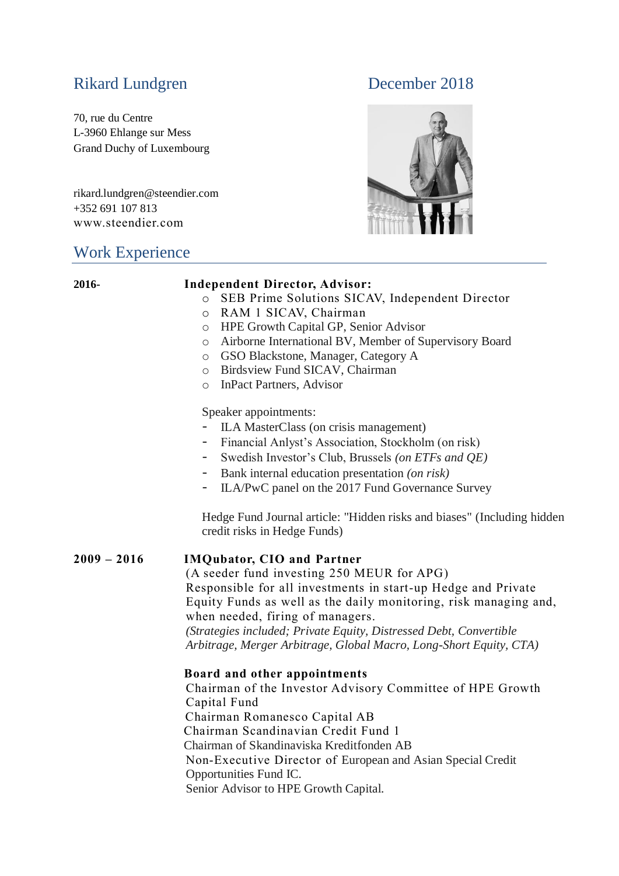# Rikard Lundgren December 2018

70, rue du Centre L-3960 Ehlange sur Mess Grand Duchy of Luxembourg

rikard.lundgren@steendier.com +352 691 107 813 www.steendier.com

## Work Experience



## **2016- Independent Director, Advisor:** o SEB Prime Solutions SICAV, Independent Director o RAM 1 SICAV, Chairman o HPE Growth Capital GP, Senior Advisor o Airborne International BV, Member of Supervisory Board o GSO Blackstone, Manager, Category A o Birdsview Fund SICAV, Chairman o InPact Partners, Advisor Speaker appointments: - ILA MasterClass (on crisis management) - Financial Anlyst's Association, Stockholm (on risk) - Swedish Investor's Club, Brussels *(on ETFs and QE)* - Bank internal education presentation *(on risk)* ILA/PwC panel on the 2017 Fund Governance Survey

Hedge Fund Journal article: "Hidden risks and biases" (Including hidden credit risks in Hedge Funds)

### **2009 – 2016 IMQubator, CIO and Partner**

(A seeder fund investing 250 MEUR for APG) Responsible for all investments in start-up Hedge and Private Equity Funds as well as the daily monitoring, risk managing and, when needed, firing of managers. *(Strategies included; Private Equity, Distressed Debt, Convertible Arbitrage, Merger Arbitrage, Global Macro, Long-Short Equity, CTA)*

### **Board and other appointments**

Chairman of the Investor Advisory Committee of HPE Growth Capital Fund Chairman Romanesco Capital AB Chairman Scandinavian Credit Fund 1 Chairman of Skandinaviska Kreditfonden AB Non-Executive Director of European and Asian Special Credit Opportunities Fund IC. Senior Advisor to HPE Growth Capital.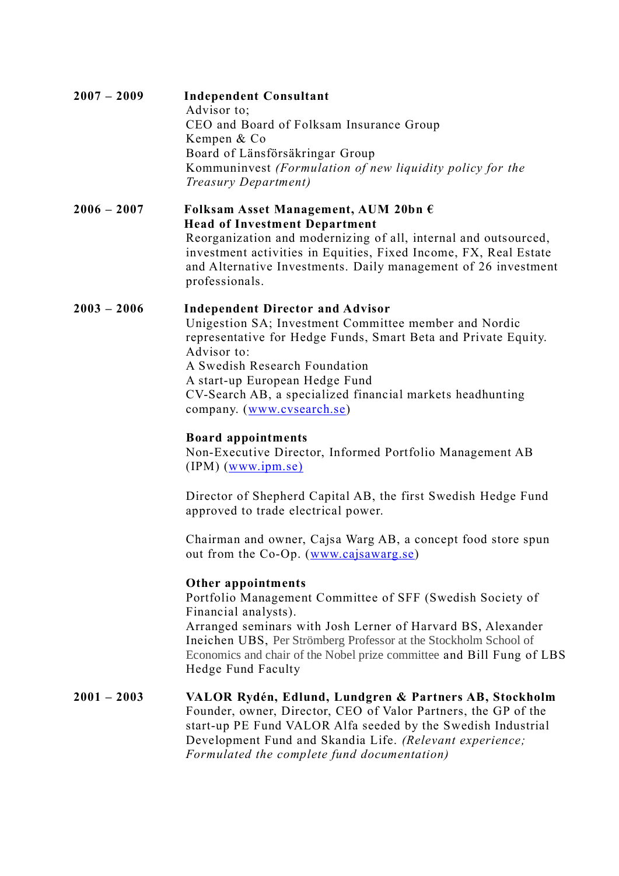| $2007 - 2009$ | <b>Independent Consultant</b><br>Advisor to:<br>CEO and Board of Folksam Insurance Group<br>Kempen & Co<br>Board of Länsförsäkringar Group<br>Kommuninvest (Formulation of new liquidity policy for the                                                                                                          |
|---------------|------------------------------------------------------------------------------------------------------------------------------------------------------------------------------------------------------------------------------------------------------------------------------------------------------------------|
|               | Treasury Department)                                                                                                                                                                                                                                                                                             |
| $2006 - 2007$ | Folksam Asset Management, AUM 20bn $\epsilon$<br><b>Head of Investment Department</b><br>Reorganization and modernizing of all, internal and outsourced,<br>investment activities in Equities, Fixed Income, FX, Real Estate<br>and Alternative Investments. Daily management of 26 investment<br>professionals. |
| $2003 - 2006$ | <b>Independent Director and Advisor</b><br>Unigestion SA; Investment Committee member and Nordic<br>representative for Hedge Funds, Smart Reta and Private Fquity                                                                                                                                                |

representative for Hedge Funds, Smart Beta and Private Equity. Advisor to: A Swedish Research Foundation A start-up European Hedge Fund CV-Search AB, a specialized financial markets headhunting company. [\(www.cvsearch.se\)](http://www.cvsearch.se/)

### **Board appointments**

Non-Executive Director, Informed Portfolio Management AB (IPM) [\(www.ipm.se\)](http://www.ipm.se)/)

Director of Shepherd Capital AB, the first Swedish Hedge Fund approved to trade electrical power.

Chairman and owner, Cajsa Warg AB, a concept food store spun out from the Co-Op. [\(www.cajsawarg.se\)](http://www.cajsawarg.se/)

#### **Other appointments**

Portfolio Management Committee of SFF (Swedish Society of Financial analysts). Arranged seminars with Josh Lerner of Harvard BS, Alexander Ineichen UBS, Per Strömberg Professor at the Stockholm School of Economics and chair of the Nobel prize committee and Bill Fung of LBS Hedge Fund Faculty

**2001 – 2003 VALOR Rydén, Edlund, Lundgren & Partners AB, Stockholm**  Founder, owner, Director, CEO of Valor Partners, the GP of the start-up PE Fund VALOR Alfa seeded by the Swedish Industrial Development Fund and Skandia Life. *(Relevant experience; Formulated the complete fund documentation)*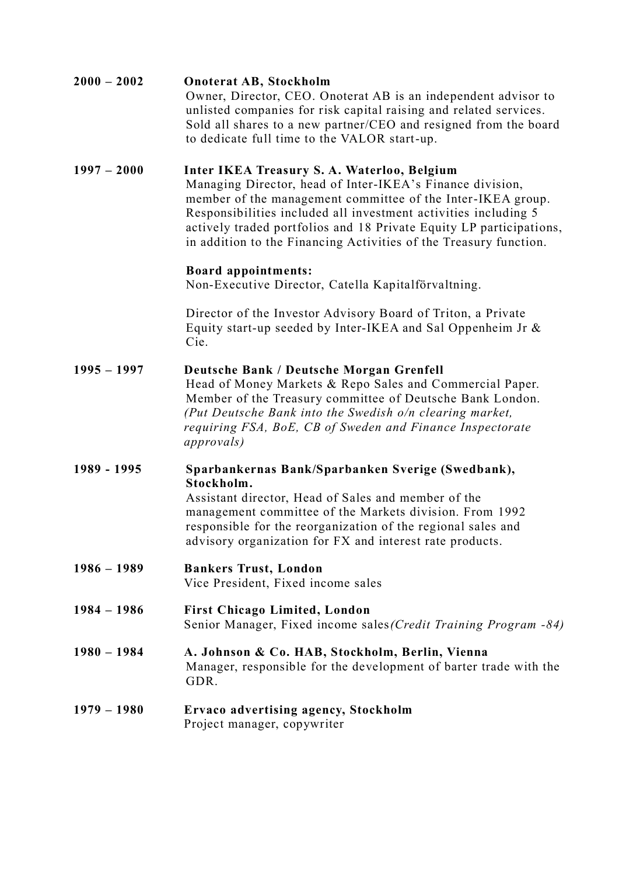| $2000 - 2002$ | <b>Onoterat AB, Stockholm</b><br>Owner, Director, CEO. Onoterat AB is an independent advisor to<br>unlisted companies for risk capital raising and related services.<br>Sold all shares to a new partner/CEO and resigned from the board<br>to dedicate full time to the VALOR start-up.                                                                                               |
|---------------|----------------------------------------------------------------------------------------------------------------------------------------------------------------------------------------------------------------------------------------------------------------------------------------------------------------------------------------------------------------------------------------|
| $1997 - 2000$ | Inter IKEA Treasury S. A. Waterloo, Belgium<br>Managing Director, head of Inter-IKEA's Finance division,<br>member of the management committee of the Inter-IKEA group.<br>Responsibilities included all investment activities including 5<br>actively traded portfolios and 18 Private Equity LP participations,<br>in addition to the Financing Activities of the Treasury function. |
|               | <b>Board appointments:</b><br>Non-Executive Director, Catella Kapitalförvaltning.                                                                                                                                                                                                                                                                                                      |
|               | Director of the Investor Advisory Board of Triton, a Private<br>Equity start-up seeded by Inter-IKEA and Sal Oppenheim Jr &<br>Cie.                                                                                                                                                                                                                                                    |
| $1995 - 1997$ | Deutsche Bank / Deutsche Morgan Grenfell<br>Head of Money Markets & Repo Sales and Commercial Paper.<br>Member of the Treasury committee of Deutsche Bank London.<br>(Put Deutsche Bank into the Swedish o/n clearing market,<br>requiring FSA, BoE, CB of Sweden and Finance Inspectorate<br><i>approvals</i> )                                                                       |
| 1989 - 1995   | Sparbankernas Bank/Sparbanken Sverige (Swedbank),<br>Stockholm.<br>Assistant director, Head of Sales and member of the<br>management committee of the Markets division. From 1992<br>responsible for the reorganization of the regional sales and<br>advisory organization for FX and interest rate products.                                                                          |
| $1986 - 1989$ | <b>Bankers Trust, London</b><br>Vice President, Fixed income sales                                                                                                                                                                                                                                                                                                                     |
| $1984 - 1986$ | <b>First Chicago Limited, London</b><br>Senior Manager, Fixed income sales (Credit Training Program -84)                                                                                                                                                                                                                                                                               |
| $1980 - 1984$ | A. Johnson & Co. HAB, Stockholm, Berlin, Vienna<br>Manager, responsible for the development of barter trade with the<br>GDR.                                                                                                                                                                                                                                                           |
| $1979 - 1980$ | Ervaco advertising agency, Stockholm<br>Project manager, copywriter                                                                                                                                                                                                                                                                                                                    |